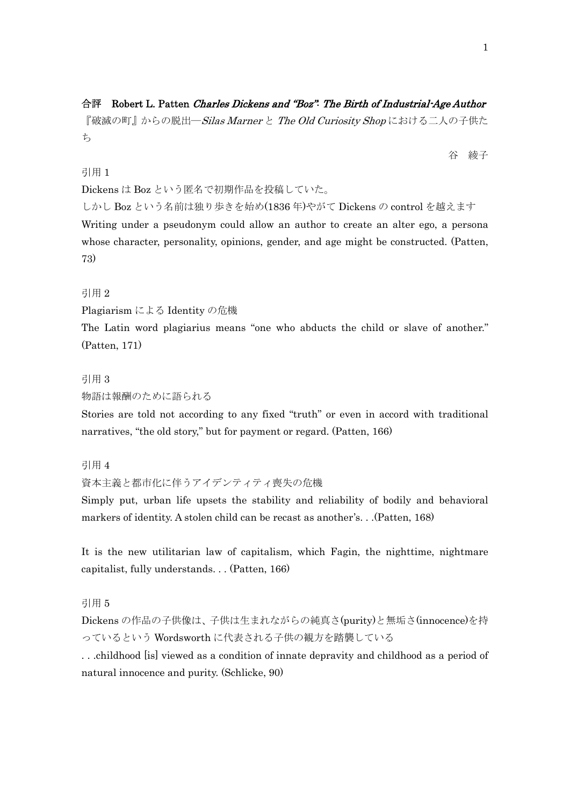『破滅の町』からの脱出–Silas Marner と The Old Curiosity Shop における二人の子供た ち

# 引用 1

Dickens は Boz という匿名で初期作品を投稿していた。

しかし Boz という名前は独り歩きを始め(1836 年)やがて Dickens の control を越えます Writing under a pseudonym could allow an author to create an alter ego, a persona whose character, personality, opinions, gender, and age might be constructed. (Patten, 73)

## 引用 2

Plagiarism による Identity の危機

The Latin word plagiarius means "one who abducts the child or slave of another." (Patten, 171)

### 引用 3

物語は報酬のために語られる

Stories are told not according to any fixed "truth" or even in accord with traditional narratives, "the old story," but for payment or regard. (Patten, 166)

### 引用 4

資本主義と都市化に伴うアイデンティティ喪失の危機

Simply put, urban life upsets the stability and reliability of bodily and behavioral markers of identity. A stolen child can be recast as another's. . .(Patten, 168)

It is the new utilitarian law of capitalism, which Fagin, the nighttime, nightmare capitalist, fully understands. . . (Patten, 166)

## 引用 5

Dickens の作品の子供像は、子供は生まれながらの純真さ(purity)と無垢さ(innocence)を持 っているという Wordsworth に代表される子供の観方を踏襲している

. . .childhood [is] viewed as a condition of innate depravity and childhood as a period of natural innocence and purity. (Schlicke, 90)

谷 綾子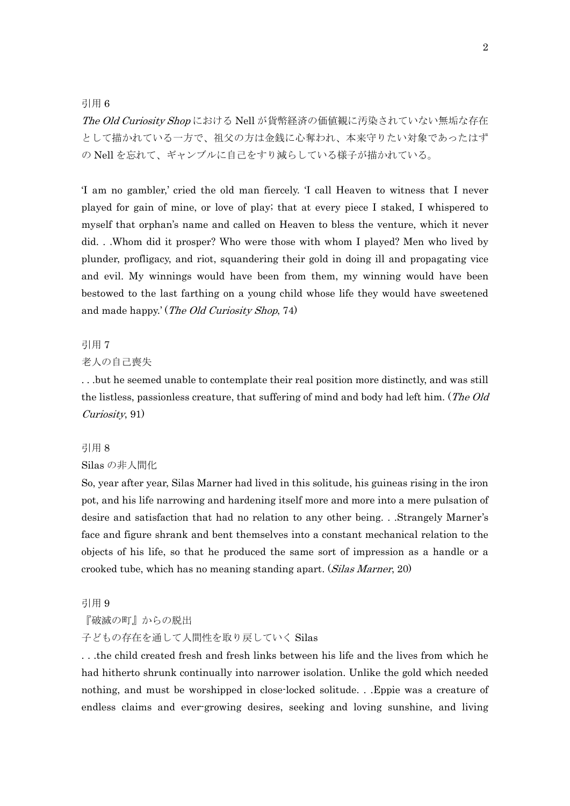## 引用 6

The Old Curiosity Shop における Nell が貨幣経済の価値観に汚染されていない無垢な存在 として描かれている一方で、祖父の方は金銭に心奪われ、本来守りたい対象であったはず の Nell を忘れて、ギャンブルに自己をすり減らしている様子が描かれている。

'I am no gambler,' cried the old man fiercely. 'I call Heaven to witness that I never played for gain of mine, or love of play; that at every piece I staked, I whispered to myself that orphan's name and called on Heaven to bless the venture, which it never did. . .Whom did it prosper? Who were those with whom I played? Men who lived by plunder, profligacy, and riot, squandering their gold in doing ill and propagating vice and evil. My winnings would have been from them, my winning would have been bestowed to the last farthing on a young child whose life they would have sweetened and made happy.' (*The Old Curiosity Shop*, 74)

### 引用 7

#### 老人の自己喪失

. . .but he seemed unable to contemplate their real position more distinctly, and was still the listless, passionless creature, that suffering of mind and body had left him. (*The Old* Curiosity, 91)

#### 引用 8

#### Silas の非人間化

So, year after year, Silas Marner had lived in this solitude, his guineas rising in the iron pot, and his life narrowing and hardening itself more and more into a mere pulsation of desire and satisfaction that had no relation to any other being. . .Strangely Marner's face and figure shrank and bent themselves into a constant mechanical relation to the objects of his life, so that he produced the same sort of impression as a handle or a crooked tube, which has no meaning standing apart. (Silas Marner, 20)

### 引用 9

### 『破滅の町』からの脱出

## 子どもの存在を通して人間性を取り戻していく Silas

. . .the child created fresh and fresh links between his life and the lives from which he had hitherto shrunk continually into narrower isolation. Unlike the gold which needed nothing, and must be worshipped in close-locked solitude. . .Eppie was a creature of endless claims and ever-growing desires, seeking and loving sunshine, and living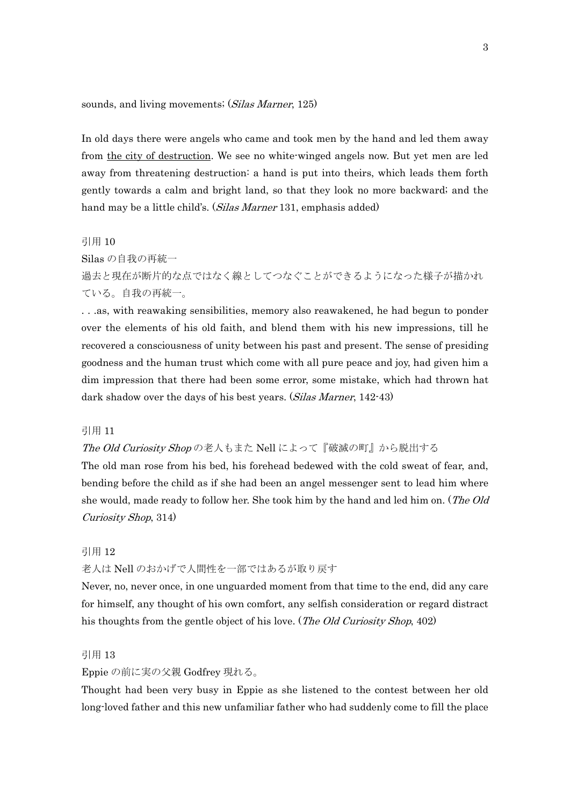sounds, and living movements; (*Silas Marner*, 125)

In old days there were angels who came and took men by the hand and led them away from the city of destruction. We see no white-winged angels now. But yet men are led away from threatening destruction: a hand is put into theirs, which leads them forth gently towards a calm and bright land, so that they look no more backward; and the hand may be a little child's. (Silas Marner 131, emphasis added)

引用 10

Silas の自我の再統一

過去と現在が断片的な点ではなく線としてつなぐことができるようになった様子が描かれ ている。自我の再統一。

. . .as, with reawaking sensibilities, memory also reawakened, he had begun to ponder over the elements of his old faith, and blend them with his new impressions, till he recovered a consciousness of unity between his past and present. The sense of presiding goodness and the human trust which come with all pure peace and joy, had given him a dim impression that there had been some error, some mistake, which had thrown hat dark shadow over the days of his best years. (*Silas Marner*, 142-43)

#### 引用 11

### The Old Curiosity Shop の老人もまた Nell によって『破滅の町』から脱出する

The old man rose from his bed, his forehead bedewed with the cold sweat of fear, and, bending before the child as if she had been an angel messenger sent to lead him where she would, made ready to follow her. She took him by the hand and led him on. (*The Old* Curiosity Shop, 314)

## 引用 12

#### 老人は Nell のおかげで人間性を一部ではあるが取り戻す

Never, no, never once, in one unguarded moment from that time to the end, did any care for himself, any thought of his own comfort, any selfish consideration or regard distract his thoughts from the gentle object of his love. (*The Old Curiosity Shop*, 402)

## 引用 13

### Eppie の前に実の父親 Godfrey 現れる。

Thought had been very busy in Eppie as she listened to the contest between her old long-loved father and this new unfamiliar father who had suddenly come to fill the place